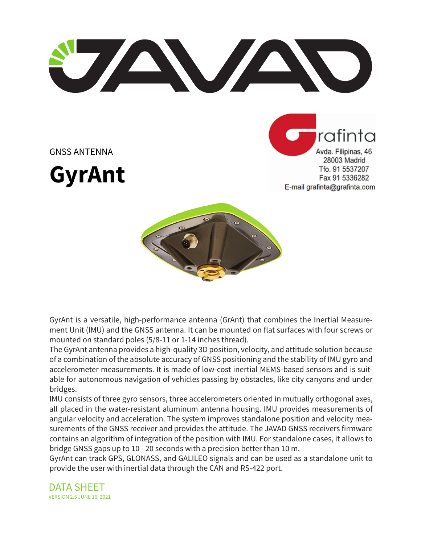**ANTENDENTE** 



**GyrAnt**

rafinta Avda. Filipinas, 46 28003 Madrid Tfo. 91 5537207 Fax 91 5336282 E-mail grafinta@grafinta.com



GyrAnt is a versatile, high-performance antenna (GrAnt) that combines the Inertial Measurement Unit (IMU) and the GNSS antenna. It can be mounted on flat surfaces with four screws or mounted on standard poles (5/8-11 or 1-14 inches thread).

The GyrAnt antenna provides a high-quality 3D position, velocity, and attitude solution because of a combination of the absolute accuracy of GNSS positioning and the stability of IMU gyro and accelerometer measurements. It is made of low-cost inertial MEMS-based sensors and is suitable for autonomous navigation of vehicles passing by obstacles, like city canyons and under bridges.

IMU consists of three gyro sensors, three accelerometers oriented in mutually orthogonal axes, all placed in the water-resistant aluminum antenna housing. IMU provides measurements of angular velocity and acceleration. The system improves standalone position and velocity measurements of the GNSS receiver and provides the attitude. The JAVAD GNSS receivers firmware contains an algorithm of integration of the position with IMU. For standalone cases, it allows to bridge GNSS gaps up to 10 - 20 seconds with a precision better than 10 m.

GyrAnt can track GPS, GLONASS, and GALILEO signals and can be used as a standalone unit to provide the user with inertial data through the CAN and RS-422 port.

DATA SHEET VERSION 2.5 JUNE 16, 2021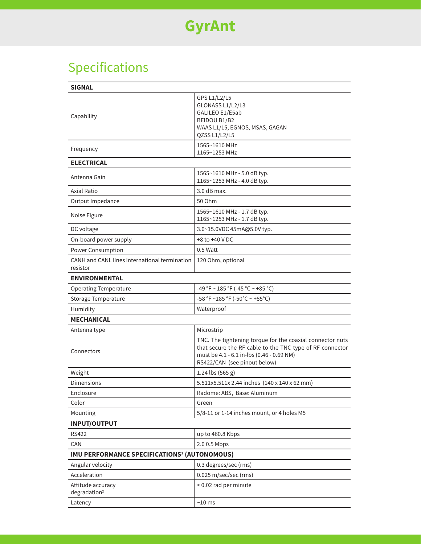# Specifications

| <b>SIGNAL</b>                                             |                                                                                                                                                                                                    |  |  |  |  |
|-----------------------------------------------------------|----------------------------------------------------------------------------------------------------------------------------------------------------------------------------------------------------|--|--|--|--|
| Capability                                                | GPS L1/L2/L5<br>GLONASS L1/L2/L3<br>GALILEO E1/E5ab<br>BEIDOU B1/B2<br>WAAS L1/L5, EGNOS, MSAS, GAGAN<br>QZSS L1/L2/L5                                                                             |  |  |  |  |
| Frequency                                                 | 1565~1610 MHz<br>1165~1253 MHz                                                                                                                                                                     |  |  |  |  |
| <b>ELECTRICAL</b>                                         |                                                                                                                                                                                                    |  |  |  |  |
| Antenna Gain                                              | 1565~1610 MHz - 5.0 dB typ.<br>1165~1253 MHz - 4.0 dB typ.                                                                                                                                         |  |  |  |  |
| Axial Ratio                                               | 3.0 dB max.                                                                                                                                                                                        |  |  |  |  |
| Output Impedance                                          | 50 Ohm                                                                                                                                                                                             |  |  |  |  |
| Noise Figure                                              | 1565~1610 MHz - 1.7 dB typ.<br>1165~1253 MHz - 1.7 dB typ.                                                                                                                                         |  |  |  |  |
| DC voltage                                                | 3.0~15.0VDC 45mA@5.0V typ.                                                                                                                                                                         |  |  |  |  |
| On-board power supply                                     | $+8$ to $+40$ V DC                                                                                                                                                                                 |  |  |  |  |
| Power Consumption                                         | 0.5 Watt                                                                                                                                                                                           |  |  |  |  |
| CANH and CANL lines international termination<br>resistor | 120 Ohm, optional                                                                                                                                                                                  |  |  |  |  |
| <b>ENVIRONMENTAL</b>                                      |                                                                                                                                                                                                    |  |  |  |  |
| <b>Operating Temperature</b>                              | -49 °F ~ 185 °F (-45 °C ~ +85 °C)                                                                                                                                                                  |  |  |  |  |
| Storage Temperature                                       | -58 °F ~185 °F (-50°C ~ +85°C)                                                                                                                                                                     |  |  |  |  |
| Humidity                                                  | Waterproof                                                                                                                                                                                         |  |  |  |  |
| <b>MECHANICAL</b>                                         |                                                                                                                                                                                                    |  |  |  |  |
| Antenna type                                              | Microstrip                                                                                                                                                                                         |  |  |  |  |
| Connectors                                                | TNC. The tightening torque for the coaxial connector nuts<br>that secure the RF cable to the TNC type of RF connector<br>must be 4.1 - 6.1 in-lbs (0.46 - 0.69 NM)<br>RS422/CAN (see pinout below) |  |  |  |  |
| Weight                                                    | 1.24 lbs (565 g)                                                                                                                                                                                   |  |  |  |  |
| Dimensions                                                | 5.511x5.511x 2.44 inches (140 x 140 x 62 mm)                                                                                                                                                       |  |  |  |  |
| Enclosure                                                 | Radome: ABS, Base: Aluminum                                                                                                                                                                        |  |  |  |  |
| Color                                                     | Green                                                                                                                                                                                              |  |  |  |  |
| Mounting                                                  | 5/8-11 or 1-14 inches mount, or 4 holes M5                                                                                                                                                         |  |  |  |  |
| <b>INPUT/OUTPUT</b>                                       |                                                                                                                                                                                                    |  |  |  |  |
| <b>RS422</b>                                              | up to 460.8 Kbps                                                                                                                                                                                   |  |  |  |  |
| CAN                                                       | 2.0 0.5 Mbps                                                                                                                                                                                       |  |  |  |  |
| IMU PERFORMANCE SPECIFICATIONS <sup>1</sup> (AUTONOMOUS)  |                                                                                                                                                                                                    |  |  |  |  |
| Angular velocity                                          | 0.3 degrees/sec (rms)                                                                                                                                                                              |  |  |  |  |
| Acceleration                                              | 0.025 m/sec/sec (rms)                                                                                                                                                                              |  |  |  |  |
| Attitude accuracy<br>degradation <sup>2</sup>             | < 0.02 rad per minute                                                                                                                                                                              |  |  |  |  |
| Latency                                                   | $~10 \text{ ms}$                                                                                                                                                                                   |  |  |  |  |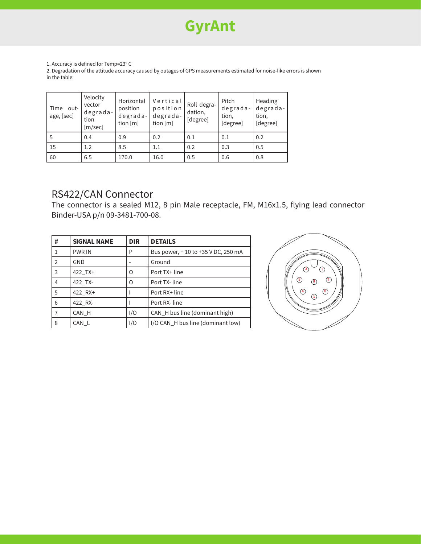## **GyrAnt**

1. Accuracy is defined for Temp=23° C

2. Degradation of the attitude accuracy caused by outages of GPS measurements estimated for noise-like errors is shown in the table:

| Time<br>-out-<br>age, [sec] | Velocity<br>vector<br>degrada-<br>tion<br>[m/sec] | Horizontal<br>position<br>degrada-<br>tion $[m]$ | Vertical<br>position<br>degrada-<br>tion [m] | Roll degra-<br>dation,<br>[degree] | Pitch<br>degrada-<br>tion,<br>[degree] | Heading<br>degrada-<br>tion,<br>[degree] |
|-----------------------------|---------------------------------------------------|--------------------------------------------------|----------------------------------------------|------------------------------------|----------------------------------------|------------------------------------------|
| 5                           | 0.4                                               | 0.9                                              | 0.2                                          | 0.1                                | 0.1                                    | 0.2                                      |
| 15                          | 1.2                                               | 8.5                                              | 1.1                                          | 0.2                                | 0.3                                    | 0.5                                      |
| 60                          | 6.5                                               | 170.0                                            | 16.0                                         | 0.5                                | 0.6                                    | 0.8                                      |

#### RS422/CAN Connector

The connector is a sealed M12, 8 pin Male receptacle, FM, M16x1.5, flying lead connector Binder-USA p/n 09-3481-700-08.

| #              | <b>SIGNAL NAME</b> | <b>DIR</b> | <b>DETAILS</b>                     |
|----------------|--------------------|------------|------------------------------------|
|                | <b>PWR IN</b>      | P          | Bus power, +10 to +35 V DC, 250 mA |
| $\sqrt{2}$     | GND                |            | Ground                             |
| $\overline{3}$ | 422 TX+            | 0          | Port TX+ line                      |
| $\overline{4}$ | 422 TX-            | Ω          | Port TX-line                       |
| 5              | 422 RX+            |            | Port RX+ line                      |
| 6              | 422 RX-            |            | Port RX-line                       |
| 7              | CAN H              | I/O        | CAN_H bus line (dominant high)     |
| 8              | CAN L              | I/O        | I/O CAN_H bus line (dominant low)  |